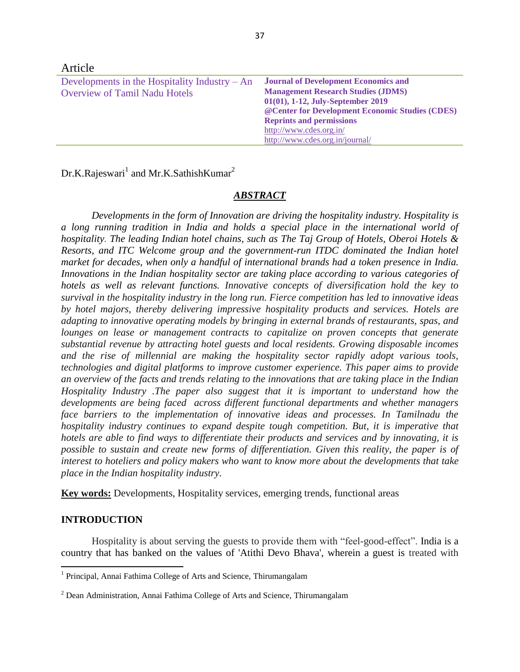| Atucie.                                         |                                                  |
|-------------------------------------------------|--------------------------------------------------|
| Developments in the Hospitality Industry $- An$ | <b>Journal of Development Economics and</b>      |
| <b>Overview of Tamil Nadu Hotels</b>            | <b>Management Research Studies (JDMS)</b>        |
|                                                 | 01(01), 1-12, July-September 2019                |
|                                                 | @ Center for Development Economic Studies (CDES) |
|                                                 | <b>Reprints and permissions</b>                  |
|                                                 | http://www.cdes.org.in/                          |
|                                                 | http://www.cdes.org.in/journal/                  |

Dr.K.Rajeswari $^1$  and Mr.K.SathishKumar $^2$ 

 $A_{\text{min}}$ 

## *ABSTRACT*

*Developments in the form of Innovation are driving the hospitality industry. Hospitality is a long running tradition in India and holds a special place in the international world of hospitality. The leading Indian hotel chains, such as The Taj Group of Hotels, Oberoi Hotels & Resorts, and ITC Welcome group and the government-run ITDC dominated the Indian hotel market for decades, when only a handful of international brands had a token presence in India. Innovations in the Indian hospitality sector are taking place according to various categories of hotels as well as relevant functions. Innovative concepts of diversification hold the key to survival in the hospitality industry in the long run. Fierce competition has led to innovative ideas by hotel majors, thereby delivering impressive hospitality products and services. Hotels are adapting to innovative operating models by bringing in external brands of restaurants, spas, and lounges on lease or management contracts to capitalize on proven concepts that generate substantial revenue by attracting hotel guests and local residents. Growing disposable incomes and the rise of millennial are making the hospitality sector rapidly adopt various tools, technologies and digital platforms to improve customer experience. This paper aims to provide an overview of the facts and trends relating to the innovations that are taking place in the Indian Hospitality Industry .The paper also suggest that it is important to understand how the developments are being faced across different functional departments and whether managers face barriers to the implementation of innovative ideas and processes. In Tamilnadu the hospitality industry continues to expand despite tough competition. But, it is imperative that hotels are able to find ways to differentiate their products and services and by innovating, it is possible to sustain and create new forms of differentiation. Given this reality, the paper is of interest to hoteliers and policy makers who want to know more about the developments that take place in the Indian hospitality industry.*

**Key words:** Developments, Hospitality services, emerging trends, functional areas

### **INTRODUCTION**

Hospitality is about serving the guests to provide them with "feel-good-effect". India is a country that has banked on the values of 'Atithi Devo Bhava', wherein a guest is treated with

 1 Principal, Annai Fathima College of Arts and Science, Thirumangalam

<sup>2</sup> Dean Administration, Annai Fathima College of Arts and Science, Thirumangalam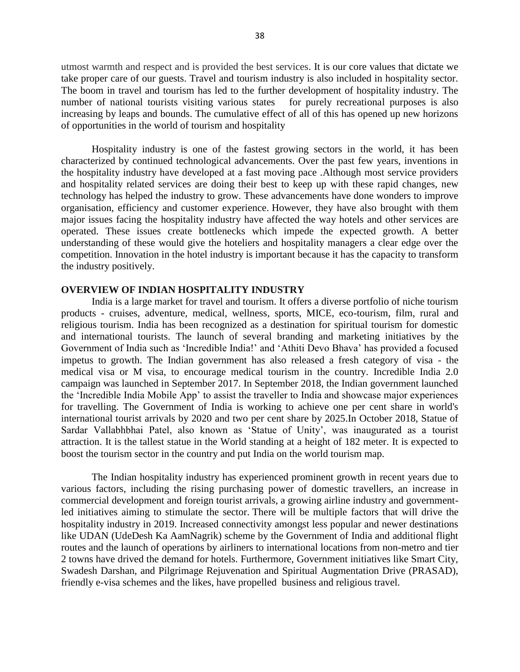utmost warmth and respect and is provided the best services. It is our core values that dictate we take proper care of our guests. Travel and tourism industry is also included in hospitality sector. The boom in travel and tourism has led to the further development of hospitality industry. The number of national tourists visiting various states for purely recreational purposes is also increasing by leaps and bounds. The cumulative effect of all of this has opened up new horizons of opportunities in the world of tourism and hospitality

Hospitality industry is one of the fastest growing sectors in the world, it has been characterized by continued technological advancements. Over the past few years, inventions in the hospitality industry have developed at a fast moving pace .Although most service providers and hospitality related services are doing their best to keep up with these rapid changes, new technology has helped the industry to grow. These advancements have done wonders to improve organisation, efficiency and customer experience. However, they have also brought with them major issues facing the hospitality industry have affected the way hotels and other services are operated. These issues create bottlenecks which impede the expected growth. A better understanding of these would give the hoteliers and hospitality managers a clear edge over the competition. Innovation in the hotel industry is important because it has the capacity to transform the industry positively.

## **OVERVIEW OF INDIAN HOSPITALITY INDUSTRY**

India is a large market for travel and tourism. It offers a diverse portfolio of niche tourism products - cruises, adventure, medical, wellness, sports, MICE, eco-tourism, film, rural and religious tourism. India has been recognized as a destination for spiritual tourism for domestic and international tourists. The launch of several branding and marketing initiatives by the Government of India such as 'Incredible India!' and 'Athiti Devo Bhava' has provided a focused impetus to growth. The Indian government has also released a fresh category of visa - the medical visa or M visa, to encourage medical tourism in the country. Incredible India 2.0 campaign was launched in September 2017. In September 2018, the Indian government launched the 'Incredible India Mobile App' to assist the traveller to India and showcase major experiences for travelling. The Government of India is working to achieve one per cent share in world's international tourist arrivals by 2020 and two per cent share by 2025.In October 2018, Statue of Sardar Vallabhbhai Patel, also known as 'Statue of Unity', was inaugurated as a tourist attraction. It is the tallest statue in the World standing at a height of 182 meter. It is expected to boost the tourism sector in the country and put India on the world tourism map.

The Indian hospitality industry has experienced prominent growth in recent years due to various factors, including the rising purchasing power of domestic travellers, an increase in commercial development and foreign tourist arrivals, a growing airline industry and governmentled initiatives aiming to stimulate the sector. There will be multiple factors that will drive the hospitality industry in 2019. Increased connectivity amongst less popular and newer destinations like UDAN (UdeDesh Ka AamNagrik) scheme by the Government of India and additional flight routes and the launch of operations by airliners to international locations from non-metro and tier 2 towns have drived the demand for hotels. Furthermore, Government initiatives like Smart City, Swadesh Darshan, and Pilgrimage Rejuvenation and Spiritual Augmentation Drive (PRASAD), friendly e-visa schemes and the likes, have propelled business and religious travel.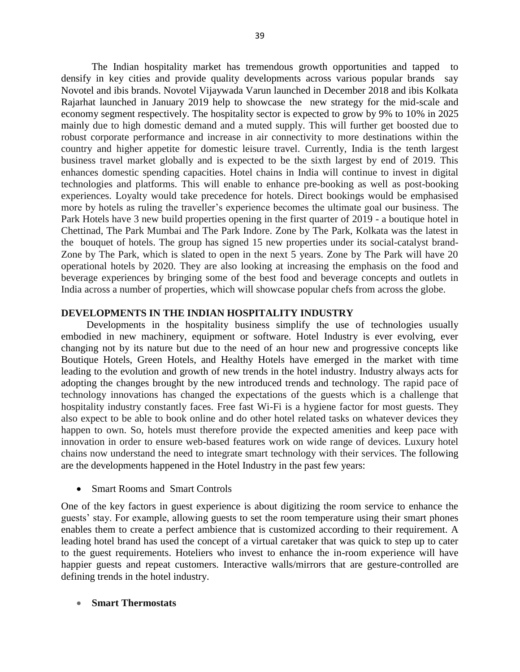The Indian hospitality market has tremendous growth opportunities and tapped to densify in key cities and provide quality developments across various popular brands say Novotel and ibis brands. Novotel Vijaywada Varun launched in December 2018 and ibis Kolkata Rajarhat launched in January 2019 help to showcase the new strategy for the mid-scale and economy segment respectively. The hospitality sector is expected to grow by 9% to 10% in 2025 mainly due to high domestic demand and a muted supply. This will further get boosted due to robust corporate performance and increase in air connectivity to more destinations within the country and higher appetite for domestic leisure travel. Currently, India is the tenth largest business travel market globally and is expected to be the sixth largest by end of 2019. This enhances domestic spending capacities. Hotel chains in India will continue to invest in digital technologies and platforms. This will enable to enhance pre-booking as well as post-booking experiences. Loyalty would take precedence for hotels. Direct bookings would be emphasised more by hotels as ruling the traveller's experience becomes the ultimate goal our business. The Park Hotels have 3 new build properties opening in the first quarter of 2019 - a boutique hotel in Chettinad, The Park Mumbai and The Park Indore. Zone by The Park, Kolkata was the latest in the bouquet of hotels. The group has signed 15 new properties under its social-catalyst brand-Zone by The Park, which is slated to open in the next 5 years. Zone by The Park will have 20 operational hotels by 2020. They are also looking at increasing the emphasis on the food and beverage experiences by bringing some of the best food and beverage concepts and outlets in India across a number of properties, which will showcase popular chefs from across the globe.

## **DEVELOPMENTS IN THE INDIAN HOSPITALITY INDUSTRY**

 Developments in the hospitality business simplify the use of technologies usually embodied in new machinery, equipment or software. Hotel Industry is ever evolving, ever changing not by its nature but due to the need of an hour new and progressive concepts like Boutique Hotels, Green Hotels, and Healthy Hotels have emerged in the market with time leading to the evolution and growth of new trends in the hotel industry. Industry always acts for adopting the changes brought by the new introduced trends and technology. The rapid pace of technology innovations has changed the expectations of the guests which is a challenge that hospitality industry constantly faces. Free fast Wi-Fi is a hygiene factor for most guests. They also expect to be able to book online and do other hotel related tasks on whatever devices they happen to own. So, hotels must therefore provide the expected amenities and keep pace with innovation in order to ensure web-based features work on wide range of devices. Luxury hotel chains now understand the need to integrate smart technology with their services. The following are the developments happened in the Hotel Industry in the past few years:

## Smart Rooms and Smart Controls

One of the key factors in guest experience is about digitizing the room service to enhance the guests' stay. For example, allowing guests to set the room temperature using their smart phones enables them to create a perfect ambience that is customized according to their requirement. A leading hotel brand has used the concept of a virtual caretaker that was quick to step up to cater to the guest requirements. Hoteliers who invest to enhance the in-room experience will have happier guests and repeat customers. Interactive walls/mirrors that are gesture-controlled are defining trends in the hotel industry.

## **Smart Thermostats**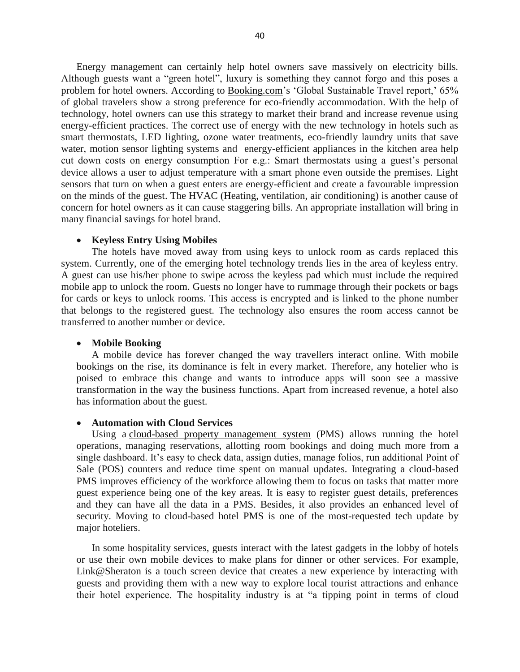Energy management can certainly help hotel owners save massively on electricity bills. Although guests want a "green hotel", luxury is something they cannot forgo and this poses a problem for hotel owners. According to [Booking.com'](http://booking.com/)s 'Global Sustainable Travel report,' 65% of global travelers show a strong preference for eco-friendly accommodation. With the help of technology, hotel owners can use this strategy to market their brand and increase revenue using energy-efficient practices. The correct use of energy with the new technology in hotels such as smart thermostats, LED lighting, ozone water treatments, eco-friendly laundry units that save water, motion sensor lighting systems and energy-efficient appliances in the kitchen area help cut down costs on energy consumption For e.g.: Smart thermostats using a guest's personal device allows a user to adjust temperature with a smart phone even outside the premises. Light sensors that turn on when a guest enters are energy-efficient and create a favourable impression on the minds of the guest. The HVAC (Heating, ventilation, air conditioning) is another cause of concern for hotel owners as it can cause staggering bills. An appropriate installation will bring in many financial savings for hotel brand.

### **Keyless Entry Using Mobiles**

The hotels have moved away from using keys to unlock room as cards replaced this system. Currently, one of the emerging hotel technology trends lies in the area of keyless entry. A guest can use his/her phone to swipe across the keyless pad which must include the required mobile app to unlock the room. Guests no longer have to rummage through their pockets or bags for cards or keys to unlock rooms. This access is encrypted and is linked to the phone number that belongs to the registered guest. The technology also ensures the room access cannot be transferred to another number or device.

#### **Mobile Booking**

A mobile device has forever changed the way travellers interact online. With mobile bookings on the rise, its dominance is felt in every market. Therefore, any hotelier who is poised to embrace this change and wants to introduce apps will soon see a massive transformation in the way the business functions. Apart from increased revenue, a hotel also has information about the guest.

#### **Automation with Cloud Services**

Using a [cloud-based property management system](https://www.hotelogix.com/hotelogix-cloud-based-property-management-system.php) (PMS) allows running the hotel operations, managing reservations, allotting room bookings and doing much more from a single dashboard. It's easy to check data, assign duties, manage folios, run additional Point of Sale (POS) counters and reduce time spent on manual updates. Integrating a cloud-based PMS improves efficiency of the workforce allowing them to focus on tasks that matter more guest experience being one of the key areas. It is easy to register guest details, preferences and they can have all the data in a PMS. Besides, it also provides an enhanced level of security. Moving to cloud-based hotel PMS is one of the most-requested tech update by major hoteliers.

In some hospitality services, guests interact with the latest gadgets in the lobby of hotels or use their own mobile devices to make plans for dinner or other services. For example, Link@Sheraton is a touch screen device that creates a new experience by interacting with guests and providing them with a new way to explore local tourist attractions and enhance their hotel experience. The hospitality industry is at "a tipping point in terms of cloud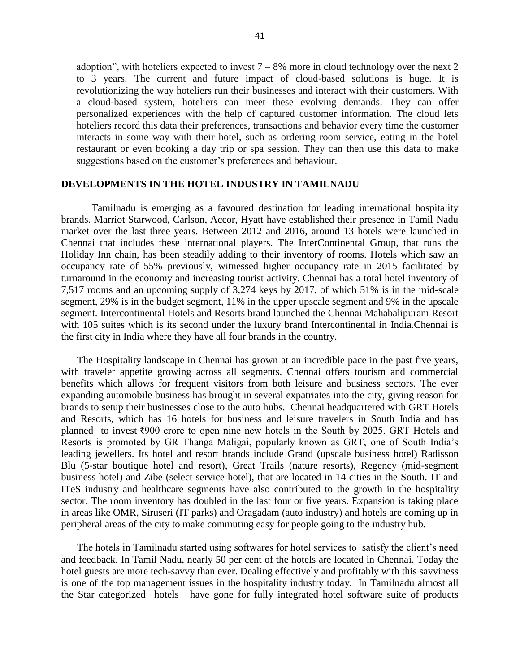adoption", with hoteliers expected to invest  $7 - 8%$  more in cloud technology over the next 2 to 3 years. The current and future impact of cloud-based solutions is huge. It is revolutionizing the way hoteliers run their businesses and interact with their customers. With a cloud-based system, hoteliers can meet these evolving demands. They can offer personalized experiences with the help of captured customer information. The cloud lets hoteliers record this data their preferences, transactions and behavior every time the customer interacts in some way with their hotel, such as ordering room service, eating in the hotel restaurant or even booking a day trip or spa session. They can then use this data to make suggestions based on the customer's preferences and behaviour.

#### **DEVELOPMENTS IN THE HOTEL INDUSTRY IN TAMILNADU**

Tamilnadu is emerging as a favoured destination for leading international hospitality brands. Marriot Starwood, Carlson, Accor, Hyatt have established their presence in Tamil Nadu market over the last three years. Between 2012 and 2016, around 13 hotels were launched in Chennai that includes these international players. The InterContinental Group, that runs the Holiday Inn chain, has been steadily adding to their inventory of rooms. Hotels which saw an occupancy rate of 55% previously, witnessed higher occupancy rate in 2015 facilitated by turnaround in the economy and increasing tourist activity. Chennai has a total hotel inventory of 7,517 rooms and an upcoming supply of 3,274 keys by 2017, of which 51% is in the mid-scale segment, 29% is in the budget segment, 11% in the upper upscale segment and 9% in the upscale segment. Intercontinental Hotels and Resorts brand launched the Chennai Mahabalipuram Resort with 105 suites which is its second under the luxury brand Intercontinental in India.Chennai is the first city in India where they have all four brands in the country.

The Hospitality landscape in Chennai has grown at an incredible pace in the past five years, with traveler appetite growing across all segments. Chennai offers tourism and commercial benefits which allows for frequent visitors from both leisure and business sectors. The ever expanding automobile business has brought in several expatriates into the city, giving reason for brands to setup their businesses close to the auto hubs. Chennai headquartered with GRT Hotels and Resorts, which has 16 hotels for business and leisure travelers in South India and has planned to invest ₹900 crore to open nine new hotels in the South by 2025. GRT Hotels and Resorts is promoted by GR Thanga Maligai, popularly known as GRT, one of South India's leading jewellers. Its hotel and resort brands include Grand (upscale business hotel) Radisson Blu (5-star boutique hotel and resort), Great Trails (nature resorts), Regency (mid-segment business hotel) and Zibe (select service hotel), that are located in 14 cities in the South. IT and ITeS industry and healthcare segments have also contributed to the growth in the hospitality sector. The room inventory has doubled in the last four or five years. Expansion is taking place in areas like OMR, Siruseri (IT parks) and Oragadam (auto industry) and hotels are coming up in peripheral areas of the city to make commuting easy for people going to the industry hub.

The hotels in Tamilnadu started using softwares for hotel services to satisfy the client's need and feedback. In Tamil Nadu, nearly 50 per cent of the hotels are located in Chennai. Today the hotel guests are more tech-savvy than ever. Dealing effectively and profitably with this savviness is one of the top management issues in the hospitality industry today. In Tamilnadu almost all the Star categorized hotels have gone for fully integrated hotel software suite of products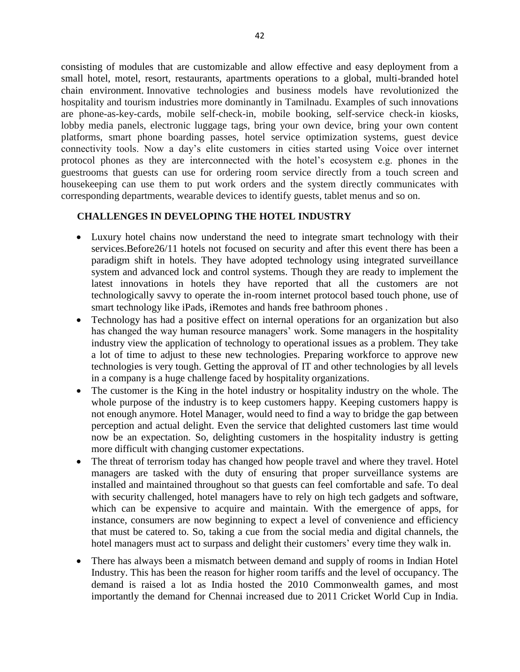consisting of modules that are customizable and allow effective and easy deployment from a small hotel, motel, resort, restaurants, apartments operations to a global, multi-branded hotel chain environment. Innovative technologies and business models have revolutionized the hospitality and tourism industries more dominantly in Tamilnadu. Examples of such innovations are phone-as-key-cards, mobile self-check-in, mobile booking, self-service check-in kiosks, lobby media panels, electronic luggage tags, bring your own device, bring your own content platforms, smart phone boarding passes, hotel service optimization systems, guest device connectivity tools. Now a day's elite customers in cities started using Voice over internet protocol phones as they are interconnected with the hotel's ecosystem e.g. phones in the guestrooms that guests can use for ordering room service directly from a touch screen and housekeeping can use them to put work orders and the system directly communicates with corresponding departments, wearable devices to identify guests, tablet menus and so on.

## **CHALLENGES IN DEVELOPING THE HOTEL INDUSTRY**

- Luxury hotel chains now understand the need to integrate smart technology with their services.Before26/11 hotels not focused on security and after this event there has been a paradigm shift in hotels. They have adopted technology using integrated surveillance system and advanced lock and control systems. Though they are ready to implement the latest innovations in hotels they have reported that all the customers are not technologically savvy to operate the in-room internet protocol based touch phone, use of smart technology like iPads, iRemotes and hands free bathroom phones .
- Technology has had a positive effect on internal operations for an organization but also has changed the way human resource managers' work. Some managers in the hospitality industry view the application of technology to operational issues as a problem. They take a lot of time to adjust to these new technologies. Preparing workforce to approve new technologies is very tough. Getting the approval of IT and other technologies by all levels in a company is a huge challenge faced by hospitality organizations.
- The customer is the King in the hotel industry or hospitality industry on the whole. The whole purpose of the industry is to keep customers happy. Keeping customers happy is not enough anymore. Hotel Manager, would need to find a way to bridge the gap between perception and actual delight. Even the service that delighted customers last time would now be an expectation. So, delighting customers in the hospitality industry is getting more difficult with changing customer expectations.
- The threat of terrorism today has changed how people travel and where they travel. Hotel managers are tasked with the duty of ensuring that proper surveillance systems are installed and maintained throughout so that guests can feel comfortable and safe. To deal with security challenged, hotel managers have to rely on high tech gadgets and software, which can be expensive to acquire and maintain. With the emergence of apps, for instance, consumers are now beginning to expect a level of convenience and efficiency that must be catered to. So, taking a cue from the social media and digital channels, the hotel managers must act to surpass and delight their customers' every time they walk in.
- There has always been a mismatch between demand and supply of rooms in Indian Hotel Industry. This has been the reason for higher room tariffs and the level of occupancy. The demand is raised a lot as India hosted the 2010 Commonwealth games, and most importantly the demand for Chennai increased due to 2011 Cricket World Cup in India.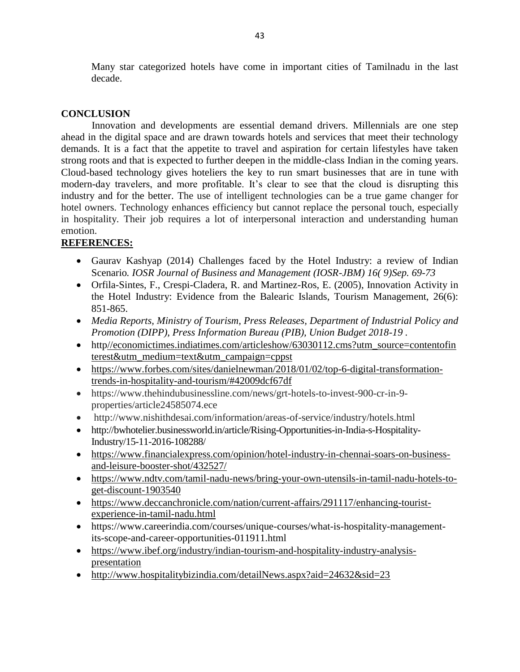Many star categorized hotels have come in important cities of Tamilnadu in the last decade.

# **CONCLUSION**

Innovation and developments are essential demand drivers. Millennials are one step ahead in the digital space and are drawn towards hotels and services that meet their technology demands. It is a fact that the appetite to travel and aspiration for certain lifestyles have taken strong roots and that is expected to further deepen in the middle-class Indian in the coming years. Cloud-based technology gives hoteliers the key to run smart businesses that are in tune with modern-day travelers, and more profitable. It's clear to see that the cloud is disrupting this industry and for the better. The use of intelligent technologies can be a true game changer for hotel owners. Technology enhances efficiency but cannot replace the personal touch, especially in hospitality. Their job requires a lot of interpersonal interaction and understanding human emotion.

# **REFERENCES:**

- Gaurav Kashyap (2014) Challenges faced by the Hotel Industry: a review of Indian Scenario*. IOSR Journal of Business and Management (IOSR-JBM) 16( 9)Sep. 69-73*
- Orfila-Sintes, F., Crespi-Cladera, R. and Martinez-Ros, E. (2005), Innovation Activity in the Hotel Industry: Evidence from the Balearic Islands, Tourism Management, 26(6): 851-865.
- *Media Reports, Ministry of Tourism, Press Releases, Department of Industrial Policy and Promotion (DIPP), Press Information Bureau (PIB), Union Budget 2018-19 .*
- htt[p//economictimes.indiatimes.com/articleshow/63030112.cms?utm\\_source=contentofin](https://economictimes.indiatimes.com/articleshow/63030112.cms?utm_source=contentofinterest&utm_medium=text&utm_campaign=cppst) [terest&utm\\_medium=text&utm\\_campaign=cppst](https://economictimes.indiatimes.com/articleshow/63030112.cms?utm_source=contentofinterest&utm_medium=text&utm_campaign=cppst)
- [https://www.forbes.com/sites/danielnewman/2018/01/02/top-6-digital-transformation](https://www.forbes.com/sites/danielnewman/2018/01/02/top-6-digital-transformation-trends-in-hospitality-and-tourism/#42009dcf67df)[trends-in-hospitality-and-tourism/#42009dcf67df](https://www.forbes.com/sites/danielnewman/2018/01/02/top-6-digital-transformation-trends-in-hospitality-and-tourism/#42009dcf67df)
- https://www.thehindubusinessline.com/news/grt-hotels-to-invest-900-cr-in-9 properties/article24585074.ece
- http://www.nishithdesai.com/information/areas-of-service/industry/hotels.html
- http://bwhotelier.businessworld.in/article/Rising-Opportunities-in-India-s-Hospitality-Industry/15-11-2016-108288/
- [https://www.financialexpress.com/opinion/hotel-industry-in-chennai-soars-on-business](https://www.financialexpress.com/opinion/hotel-industry-in-chennai-soars-on-business-and-leisure-booster-shot/432527/)[and-leisure-booster-shot/432527/](https://www.financialexpress.com/opinion/hotel-industry-in-chennai-soars-on-business-and-leisure-booster-shot/432527/)
- [https://www.ndtv.com/tamil-nadu-news/bring-your-own-utensils-in-tamil-nadu-hotels-to](https://www.ndtv.com/tamil-nadu-news/bring-your-own-utensils-in-tamil-nadu-hotels-to-get-discount-1903540)[get-discount-1903540](https://www.ndtv.com/tamil-nadu-news/bring-your-own-utensils-in-tamil-nadu-hotels-to-get-discount-1903540)
- [https://www.deccanchronicle.com/nation/current-affairs/291117/enhancing-tourist](https://www.deccanchronicle.com/nation/current-affairs/291117/enhancing-tourist-experience-in-tamil-nadu.html)[experience-in-tamil-nadu.html](https://www.deccanchronicle.com/nation/current-affairs/291117/enhancing-tourist-experience-in-tamil-nadu.html)
- https://www.careerindia.com/courses/unique-courses/what-is-hospitality-managementits-scope-and-career-opportunities-011911.html
- [https://www.ibef.org/industry/indian-tourism-and-hospitality-industry-analysis](https://www.ibef.org/industry/indian-tourism-and-hospitality-industry-analysis-presentation)[presentation](https://www.ibef.org/industry/indian-tourism-and-hospitality-industry-analysis-presentation)
- <http://www.hospitalitybizindia.com/detailNews.aspx?aid=24632&sid=23>